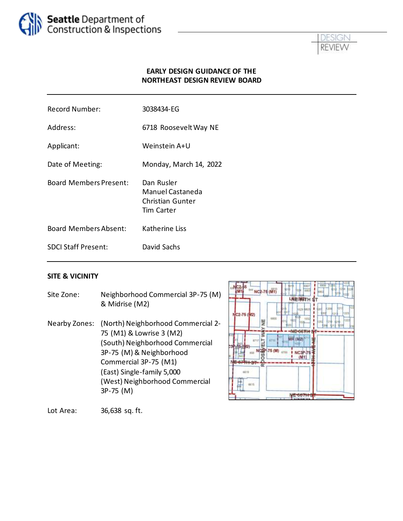



#### **EARLY DESIGN GUIDANCE OF THE NORTHEAST DESIGN REVIEW BOARD**

| <b>Record Number:</b>         | 3038434-EG                                                                     |
|-------------------------------|--------------------------------------------------------------------------------|
| Address:                      | 6718 Roosevelt Way NE                                                          |
| Applicant:                    | Weinstein A+U                                                                  |
| Date of Meeting:              | Monday, March 14, 2022                                                         |
| <b>Board Members Present:</b> | Dan Rusler<br>Manuel Castaneda<br><b>Christian Gunter</b><br><b>Tim Carter</b> |
| <b>Board Members Absent:</b>  | <b>Katherine Liss</b>                                                          |
| <b>SDCI Staff Present:</b>    | David Sachs                                                                    |
|                               |                                                                                |

#### **SITE & VICINITY**

Site Zone: Neighborhood Commercial 3P-75 (M) & Midrise (M2) Nearby Zones: (North) Neighborhood Commercial 2- 75 (M1) & Lowrise 3 (M2) (South) Neighborhood Commercial 3P-75 (M)& Neighborhood Commercial 3P-75 (M1) (East) Single-family 5,000 443 (West) Neighborhood Commercial 3P-75 (M)



Lot Area: 36,638 sq. ft.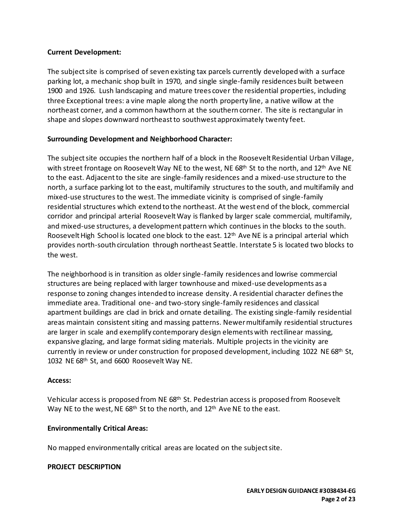#### **Current Development:**

The subject site is comprised of seven existing tax parcels currently developed with a surface parking lot, a mechanic shop built in 1970, and single single-family residences built between 1900 and 1926. Lush landscaping and mature trees cover the residential properties, including three Exceptional trees: a vine maple along the north property line, a native willow at the northeast corner, and a common hawthorn at the southern corner. The site is rectangular in shape and slopes downward northeast to southwest approximately twenty feet.

#### **Surrounding Development and Neighborhood Character:**

The subject site occupies the northern half of a block in the Roosevelt Residential Urban Village, with street frontage on Roosevelt Way NE to the west, NE 68<sup>th</sup> St to the north, and 12<sup>th</sup> Ave NE to the east. Adjacent to the site are single-family residences and a mixed-use structure to the north, a surface parking lot to the east, multifamily structures to the south, and multifamily and mixed-use structures to the west. The immediate vicinity is comprised of single-family residential structures which extend to the northeast. At the west end of the block, commercial corridor and principal arterial Roosevelt Way is flanked by larger scale commercial, multifamily, and mixed-use structures, a development pattern which continues in the blocks to the south. Roosevelt High School is located one block to the east. 12<sup>th</sup> Ave NE is a principal arterial which provides north-south circulation through northeast Seattle. Interstate 5 is located two blocks to the west.

The neighborhood is in transition as older single-family residences and lowrise commercial structures are being replaced with larger townhouse and mixed-use developments as a response to zoning changes intended to increase density. A residential character defines the immediate area. Traditional one- and two-story single-family residences and classical apartment buildings are clad in brick and ornate detailing. The existing single-family residential areas maintain consistent siting and massing patterns. Newer multifamily residential structures are larger in scale and exemplify contemporary design elements with rectilinear massing, expansive glazing, and large format siding materials. Multiple projects in the vicinity are currently in review or under construction for proposed development, including 1022 NE 68<sup>th</sup> St, 1032 NE 68th St, and 6600 Roosevelt Way NE.

#### **Access:**

Vehicular access is proposed from NE 68th St. Pedestrian access is proposed from Roosevelt Way NE to the west, NE 68<sup>th</sup> St to the north, and 12<sup>th</sup> Ave NE to the east.

#### **Environmentally Critical Areas:**

No mapped environmentally critical areas are located on the subject site.

#### **PROJECT DESCRIPTION**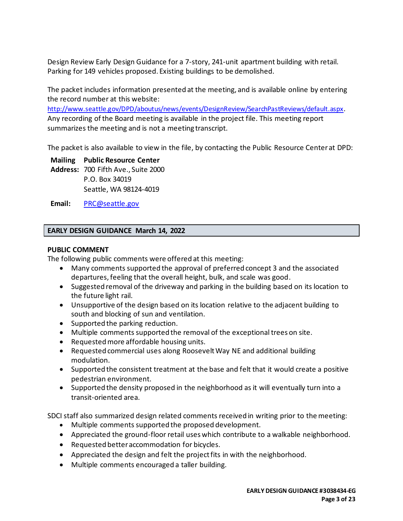Design Review Early Design Guidance for a 7-story, 241-unit apartment building with retail. Parking for 149 vehicles proposed. Existing buildings to be demolished.

The packet includes information presented at the meeting, and is available online by entering the record number at this website:

<http://www.seattle.gov/DPD/aboutus/news/events/DesignReview/SearchPastReviews/default.aspx>. Any recording of the Board meeting is available in the project file. This meeting report summarizes the meeting and is not a meeting transcript.

The packet is also available to view in the file, by contacting the Public Resource Center at DPD:

**Mailing Public Resource Center Address:** 700 Fifth Ave., Suite 2000 P.O. Box 34019 Seattle, WA 98124-4019

**Email:** [PRC@seattle.gov](mailto:PRC@seattle.gov)

#### **EARLY DESIGN GUIDANCE March 14, 2022**

#### **PUBLIC COMMENT**

The following public comments were offered at this meeting:

- Many comments supported the approval of preferred concept 3 and the associated departures, feeling that the overall height, bulk, and scale was good.
- Suggested removal of the driveway and parking in the building based on its location to the future light rail.
- Unsupportive of the design based on its location relative to the adjacent building to south and blocking of sun and ventilation.
- Supported the parking reduction.
- Multiple comments supported the removal of the exceptional trees on site.
- Requested more affordable housing units.
- Requested commercial uses along Roosevelt Way NE and additional building modulation.
- Supported the consistent treatment at the base and felt that it would create a positive pedestrian environment.
- Supported the density proposed in the neighborhood as it will eventually turn into a transit-oriented area.

SDCI staff also summarized design related comments received in writing prior to the meeting:

- Multiple comments supported the proposed development.
- Appreciated the ground-floor retail uses which contribute to a walkable neighborhood.
- Requested better accommodation for bicycles.
- Appreciated the design and felt the project fits in with the neighborhood.
- Multiple comments encouraged a taller building.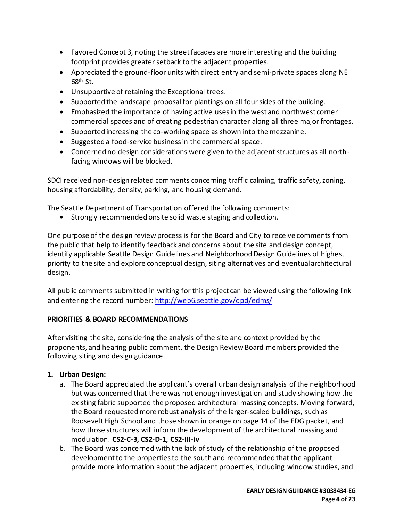- Favored Concept 3, noting the street facades are more interesting and the building footprint provides greater setback to the adjacent properties.
- Appreciated the ground-floor units with direct entry and semi-private spaces along NE  $68<sup>th</sup>$  St.
- Unsupportive of retaining the Exceptional trees.
- Supported the landscape proposal for plantings on all four sides of the building.
- Emphasized the importance of having active uses in the west and northwest corner commercial spaces and of creating pedestrian character along all three major frontages.
- Supported increasing the co-working space as shown into the mezzanine.
- Suggested a food-service business in the commercial space.
- Concerned no design considerations were given to the adjacent structures as all northfacing windows will be blocked.

SDCI received non-design related comments concerning traffic calming, traffic safety, zoning, housing affordability, density, parking, and housing demand.

The Seattle Department of Transportation offered the following comments:

• Strongly recommended onsite solid waste staging and collection.

One purpose of the design review process is for the Board and City to receive comments from the public that help to identify feedback and concerns about the site and design concept, identify applicable Seattle Design Guidelines and Neighborhood Design Guidelines of highest priority to the site and explore conceptual design, siting alternatives and eventual architectural design.

All public comments submitted in writing for this project can be viewed using the following link and entering the record number:<http://web6.seattle.gov/dpd/edms/>

## **PRIORITIES & BOARD RECOMMENDATIONS**

After visiting the site, considering the analysis of the site and context provided by the proponents, and hearing public comment, the Design Review Board members provided the following siting and design guidance.

# **1. Urban Design:**

- a. The Board appreciated the applicant's overall urban design analysis of the neighborhood but was concerned that there was not enough investigation and study showing how the existing fabric supported the proposed architectural massing concepts. Moving forward, the Board requested more robust analysis of the larger-scaled buildings, such as Roosevelt High School and those shown in orange on page 14 of the EDG packet, and how those structures will inform the development of the architectural massing and modulation. **CS2-C-3, CS2-D-1, CS2-III-iv**
- b. The Board was concerned with the lack of study of the relationship of the proposed development to the propertiesto the south and recommended that the applicant provide more information about the adjacent properties, including window studies, and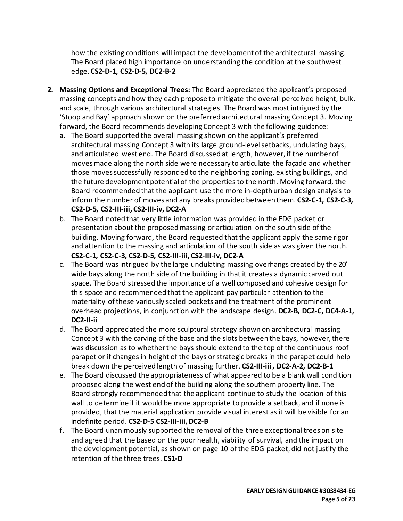how the existing conditions will impact the development of the architectural massing. The Board placed high importance on understanding the condition at the southwest edge. **CS2-D-1, CS2-D-5, DC2-B-2**

- **2. Massing Options and Exceptional Trees:** The Board appreciated the applicant's proposed massing concepts and how they each propose to mitigate the overall perceived height, bulk, and scale, through various architectural strategies. The Board was most intrigued by the 'Stoop and Bay' approach shown on the preferred architectural massing Concept 3. Moving forward, the Board recommends developing Concept 3 with the following guidance:
	- a. The Board supported the overall massing shown on the applicant's preferred architectural massing Concept 3 with its large ground-level setbacks, undulating bays, and articulated west end. The Board discussed at length, however, if the number of moves made along the north side were necessary to articulate the façade and whether those moves successfully responded to the neighboring zoning, existing buildings, and the future development potential of the properties to the north. Moving forward, the Board recommended that the applicant use the more in-depth urban design analysis to inform the number of moves and any breaks provided between them. **CS2-C-1, CS2-C-3, CS2-D-5, CS2-III-iii, CS2-III-iv, DC2-A**
	- b. The Board noted that very little information was provided in the EDG packet or presentation about the proposed massing or articulation on the south side of the building. Moving forward, the Board requested that the applicant apply the same rigor and attention to the massing and articulation of the south side as was given the north. **CS2-C-1, CS2-C-3, CS2-D-5, CS2-III-iii, CS2-III-iv, DC2-A**
	- c. The Board was intrigued by the large undulating massing overhangs created by the 20' wide bays along the north side of the building in that it creates a dynamic carved out space. The Board stressed the importance of a well composed and cohesive design for this space and recommended that the applicant pay particular attention to the materiality of these variously scaled pockets and the treatment of the prominent overhead projections, in conjunction with the landscape design. **DC2-B, DC2-C, DC4-A-1, DC2-II-ii**
	- d. The Board appreciated the more sculptural strategy shown on architectural massing Concept 3 with the carving of the base and the slots between the bays, however, there was discussion as to whether the bays should extend to the top of the continuous roof parapet or if changes in height of the bays or strategic breaks in the parapet could help break down the perceived length of massing further. **CS2-III-iii , DC2-A-2, DC2-B-1**
	- e. The Board discussed the appropriateness of what appeared to be a blank wall condition proposed along the west end of the building along the southern property line. The Board strongly recommended that the applicant continue to study the location of this wall to determine if it would be more appropriate to provide a setback, and if none is provided, that the material application provide visual interest as it will be visible for an indefinite period. **CS2-D-5 CS2-III-iii,DC2-B**
	- f. The Board unanimously supported the removal of the three exceptional trees on site and agreed that the based on the poor health, viability of survival, and the impact on the development potential, as shown on page 10 of the EDG packet, did not justify the retention of the three trees. **CS1-D**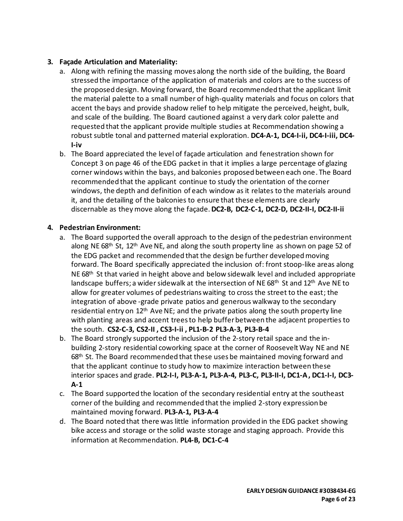# **3. Façade Articulation and Materiality:**

- a. Along with refining the massing moves along the north side of the building, the Board stressed the importance of the application of materials and colors are to the success of the proposed design. Moving forward, the Board recommended that the applicant limit the material palette to a small number of high-quality materials and focus on colors that accent the bays and provide shadow relief to help mitigate the perceived, height, bulk, and scale of the building. The Board cautioned against a very dark color palette and requested that the applicant provide multiple studies at Recommendation showing a robust subtle tonal and patterned material exploration. **DC4-A-1, DC4-I-ii, DC4-I-iii, DC4- I-iv**
- b. The Board appreciated the level of façade articulation and fenestration shown for Concept 3 on page 46 of the EDG packet in that it implies a large percentage of glazing corner windows within the bays, and balconies proposed between each one. The Board recommended that the applicant continue to study the orientation of the corner windows, the depth and definition of each window as it relates to the materials around it, and the detailing of the balconies to ensure that these elements are clearly discernable as they move along the façade.**DC2-B, DC2-C-1, DC2-D, DC2-II-I, DC2-II-ii**

## **4. Pedestrian Environment:**

- a. The Board supported the overall approach to the design of the pedestrian environment along NE 68<sup>th</sup> St, 12<sup>th</sup> Ave NE, and along the south property line as shown on page 52 of the EDG packet and recommended that the design be further developed moving forward. The Board specifically appreciated the inclusion of: front stoop-like areas along NE 68<sup>th</sup> St that varied in height above and below sidewalk level and included appropriate landscape buffers; a wider sidewalk at the intersection of NE 68<sup>th</sup> St and 12<sup>th</sup> Ave NE to allow for greater volumes of pedestrians waiting to cross the street to the east; the integration of above -grade private patios and generous walkway to the secondary residential entry on 12<sup>th</sup> Ave NE; and the private patios along the south property line with planting areas and accent trees to help buffer between the adjacent properties to the south. **CS2-C-3, CS2-II , CS3-I-ii , PL1-B-2 PL3-A-3, PL3-B-4**
- b. The Board strongly supported the inclusion of the 2-story retail space and the inbuilding 2-story residential coworking space at the corner of RooseveltWay NE and NE 68th St. The Board recommended that these uses be maintained moving forward and that the applicant continue to study how to maximize interaction between these interior spaces and grade. **PL2-I-I, PL3-A-1, PL3-A-4, PL3-C, PL3-II-I, DC1-A, DC1-I-I, DC3- A-1**
- c. The Board supported the location of the secondary residential entry at the southeast corner of the building and recommended that the implied 2-story expression be maintained moving forward. **PL3-A-1, PL3-A-4**
- d. The Board noted that there was little information provided in the EDG packet showing bike access and storage or the solid waste storage and staging approach. Provide this information at Recommendation. **PL4-B, DC1-C-4**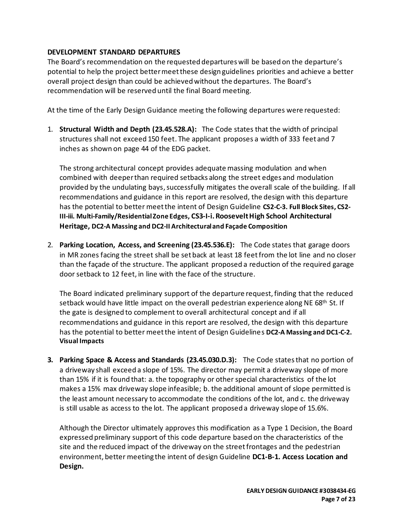### **DEVELOPMENT STANDARD DEPARTURES**

The Board's recommendation on the requested departures will be based on the departure's potential to help the project better meet these design guidelines priorities and achieve a better overall project design than could be achieved without the departures. The Board's recommendation will be reserved until the final Board meeting.

At the time of the Early Design Guidance meeting the following departures were requested:

1. **Structural Width and Depth (23.45.528.A):** The Code states that the width of principal structures shall not exceed 150 feet. The applicant proposes a width of 333 feet and 7 inches as shown on page 44 of the EDG packet.

The strong architectural concept provides adequate massing modulation and when combined with deeper than required setbacks along the street edges and modulation provided by the undulating bays, successfully mitigates the overall scale of the building. If all recommendations and guidance in this report are resolved, the design with this departure has the potential to better meet the intent of Design Guideline **CS2-C-3. Full Block Sites, CS2- III-iii. Multi-Family/Residential Zone Edges, CS3-I-i.Roosevelt High School Architectural Heritage, DC2-A Massing and DC2-II Architectural and Façade Composition**

2. **Parking Location, Access, and Screening (23.45.536.E):** The Code states that garage doors in MR zones facing the street shall be set back at least 18 feetfrom the lot line and no closer than the façade of the structure. The applicant proposed a reduction of the required garage door setback to 12 feet, in line with the face of the structure.

The Board indicated preliminary support of the departure request, finding that the reduced setback would have little impact on the overall pedestrian experience along NE 68<sup>th</sup> St. If the gate is designed to complement to overall architectural concept and if all recommendations and guidance in this report are resolved, the design with this departure has the potential to better meet the intent of Design Guidelines **DC2-A Massing and DC1-C-2. Visual Impacts**

**3. Parking Space & Access and Standards (23.45.030.D.3):** The Code statesthat no portion of a driveway shall exceed a slope of 15%. The director may permit a driveway slope of more than 15% if it is found that: a. the topography or other special characteristics of the lot makes a 15% max driveway slope infeasible; b. the additional amount of slope permitted is the least amount necessary to accommodate the conditions of the lot, and c. the driveway is still usable as access to the lot. The applicant proposed a driveway slope of 15.6%.

Although the Director ultimately approves this modification as a Type 1 Decision, the Board expressed preliminary support of this code departure based on the characteristics of the site and the reduced impact of the driveway on the street frontages and the pedestrian environment, better meeting the intent of design Guideline **DC1-B-1. Access Location and Design.**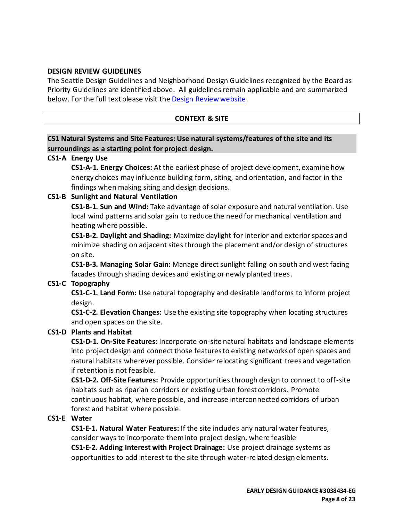#### **DESIGN REVIEW GUIDELINES**

The Seattle Design Guidelines and Neighborhood Design Guidelines recognized by the Board as Priority Guidelines are identified above. All guidelines remain applicable and are summarized below. For the full text please visit the [Design Review website.](https://www.seattle.gov/dpd/aboutus/whoweare/designreview/designguidelines/default.htm)

### **CONTEXT & SITE**

## **CS1 Natural Systems and Site Features: Use natural systems/features of the site and its surroundings as a starting point for project design.**

#### **CS1-A Energy Use**

**CS1-A-1. Energy Choices:** At the earliest phase of project development, examine how energy choices may influence building form, siting, and orientation, and factor in the findings when making siting and design decisions.

#### **CS1-B Sunlight and Natural Ventilation**

**CS1-B-1. Sun and Wind:** Take advantage of solar exposure and natural ventilation. Use local wind patterns and solar gain to reduce the need for mechanical ventilation and heating where possible.

**CS1-B-2. Daylight and Shading:** Maximize daylight for interior and exterior spaces and minimize shading on adjacent sites through the placement and/or design of structures on site.

**CS1-B-3. Managing Solar Gain:** Manage direct sunlight falling on south and west facing facades through shading devices and existing or newly planted trees.

## **CS1-C Topography**

**CS1-C-1. Land Form:** Use natural topography and desirable landforms to inform project design.

**CS1-C-2. Elevation Changes:** Use the existing site topography when locating structures and open spaces on the site.

#### **CS1-D Plants and Habitat**

**CS1-D-1. On-Site Features:** Incorporate on-site natural habitats and landscape elements into project design and connect those features to existing networks of open spaces and natural habitats wherever possible. Consider relocating significant trees and vegetation if retention is not feasible.

**CS1-D-2. Off-Site Features:** Provide opportunities through design to connect to off-site habitats such as riparian corridors or existing urban forest corridors. Promote continuous habitat, where possible, and increase interconnected corridors of urban forest and habitat where possible.

#### **CS1-E Water**

**CS1-E-1. Natural Water Features:** If the site includes any natural water features, consider ways to incorporate them into project design, where feasible **CS1-E-2. Adding Interest with Project Drainage:** Use project drainage systems as

opportunities to add interest to the site through water-related design elements.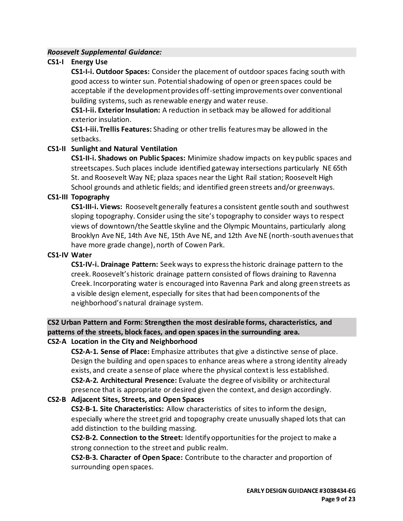#### *Roosevelt Supplemental Guidance:*

## **CS1-I Energy Use**

**CS1-I-i. Outdoor Spaces:** Consider the placement of outdoor spaces facing south with good access to winter sun. Potential shadowing of open or green spaces could be acceptable if the development provides off-setting improvements over conventional building systems, such as renewable energy and water reuse.

**CS1-I-ii. Exterior Insulation:** A reduction in setback may be allowed for additional exterior insulation.

**CS1-I-iii.Trellis Features:** Shading or other trellis features may be allowed in the setbacks.

#### **CS1-II Sunlight and Natural Ventilation**

**CS1-II-i. Shadows on Public Spaces:** Minimize shadow impacts on key public spaces and streetscapes. Such places include identified gateway intersections particularly NE 65th St. and Roosevelt Way NE; plaza spaces near the Light Rail station; Roosevelt High School grounds and athletic fields; and identified green streets and/or greenways.

#### **CS1-III Topography**

**CS1-III-i. Views:** Roosevelt generally features a consistent gentle south and southwest sloping topography. Consider using the site's topography to consider ways to respect views of downtown/the Seattle skyline and the Olympic Mountains, particularly along Brooklyn Ave NE, 14th Ave NE, 15th Ave NE, and 12th Ave NE (north-south avenues that have more grade change), north of Cowen Park.

#### **CS1-IV Water**

**CS1-IV-i. Drainage Pattern:** Seek ways to express the historic drainage pattern to the creek. Roosevelt's historic drainage pattern consisted of flows draining to Ravenna Creek. Incorporating water is encouraged into Ravenna Park and along green streets as a visible design element, especially for sites that had been components of the neighborhood's natural drainage system.

# **CS2 Urban Pattern and Form: Strengthen the most desirable forms, characteristics, and patterns of the streets, block faces, and open spaces in the surrounding area.**

#### **CS2-A Location in the City and Neighborhood**

**CS2-A-1. Sense of Place:** Emphasize attributes that give a distinctive sense of place. Design the building and open spaces to enhance areas where a strong identity already exists, and create a sense of place where the physical context is less established. **CS2-A-2. Architectural Presence:** Evaluate the degree of visibility or architectural presence that is appropriate or desired given the context, and design accordingly.

## **CS2-B Adjacent Sites, Streets, and Open Spaces**

**CS2-B-1. Site Characteristics:** Allow characteristics of sites to inform the design, especially where the street grid and topography create unusually shaped lots that can add distinction to the building massing.

**CS2-B-2. Connection to the Street:** Identify opportunities for the project to make a strong connection to the street and public realm.

**CS2-B-3. Character of Open Space:** Contribute to the character and proportion of surrounding open spaces.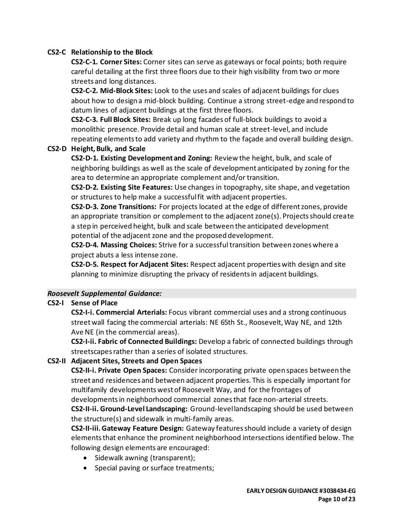## **CS2-C Relationship to the Block**

**CS2-C-1. Corner Sites:** Corner sites can serve as gateways or focal points; both require careful detailing at the first three floors due to their high visibility from two or more streets and long distances.

**CS2-C-2. Mid-Block Sites:** Look to the uses and scales of adjacent buildings for clues about how to design a mid-block building. Continue a strong street-edge and respond to datum lines of adjacent buildings at the first three floors.

**CS2-C-3. Full Block Sites:** Break up long facades of full-block buildings to avoid a monolithic presence. Provide detail and human scale at street-level, and include repeating elements to add variety and rhythm to the façade and overall building design.

## **CS2-D Height, Bulk, and Scale**

**CS2-D-1. Existing Development and Zoning:** Review the height, bulk, and scale of neighboring buildings as well as the scale of development anticipated by zoning for the area to determine an appropriate complement and/or transition.

**CS2-D-2. Existing Site Features:** Use changes in topography, site shape, and vegetation or structures to help make a successful fit with adjacent properties.

**CS2-D-3. Zone Transitions:** For projects located at the edge of different zones, provide an appropriate transition or complement to the adjacent zone(s). Projects should create a step in perceived height, bulk and scale between the anticipated development potential of the adjacent zone and the proposed development.

**CS2-D-4. Massing Choices:** Strive for a successful transition between zones where a project abuts a less intense zone.

**CS2-D-5. Respect for Adjacent Sites:** Respect adjacent properties with design and site planning to minimize disrupting the privacy of residents in adjacent buildings.

## *Roosevelt Supplemental Guidance:*

## **CS2-I Sense of Place**

**CS2-I-i. Commercial Arterials:** Focus vibrant commercial uses and a strong continuous street wall facing the commercial arterials: NE 65th St., Roosevelt, Way NE, and 12th Ave NE (in the commercial areas).

**CS2-I-ii. Fabric of Connected Buildings:** Develop a fabric of connected buildings through streetscapes rather than a series of isolated structures.

## **CS2-II Adjacent Sites, Streets and Open Spaces**

**CS2-II-i. Private Open Spaces:** Consider incorporating private open spaces between the street and residences and between adjacent properties. This is especially important for multifamily developments west of Roosevelt Way, and for the frontages of

developments in neighborhood commercial zones that face non-arterial streets. **CS2-II-ii. Ground-Level Landscaping:** Ground-level landscaping should be used between the structure(s) and sidewalk in multi-family areas.

**CS2-II-iii.Gateway Feature Design:** Gateway features should include a variety of design elements that enhance the prominent neighborhood intersections identified below. The following design elements are encouraged:

- Sidewalk awning (transparent);
- Special paving or surface treatments;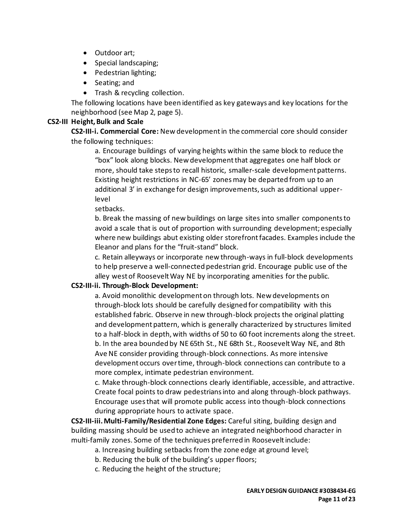- Outdoor art;
- Special landscaping;
- Pedestrian lighting;
- Seating; and
- Trash & recycling collection.

The following locations have been identified as key gateways and key locations for the neighborhood (see Map 2, page 5).

#### **CS2-III Height, Bulk and Scale**

**CS2-III-i. Commercial Core:** New development in the commercial core should consider the following techniques:

a. Encourage buildings of varying heights within the same block to reduce the "box" look along blocks. New development that aggregates one half block or more, should take steps to recall historic, smaller-scale development patterns. Existing height restrictions in NC-65' zones may be departed from up to an additional 3' in exchange for design improvements, such as additional upperlevel

setbacks.

b. Break the massing of new buildings on large sites into smaller components to avoid a scale that is out of proportion with surrounding development; especially where new buildings abut existing older storefront facades. Examples include the Eleanor and plans for the "fruit-stand" block.

c. Retain alleyways or incorporate new through-ways in full-block developments to help preserve a well-connected pedestrian grid. Encourage public use of the alley west of Roosevelt Way NE by incorporating amenities for the public.

#### **CS2-III-ii. Through-Block Development:**

a. Avoid monolithic development on through lots. New developments on through-block lots should be carefully designed for compatibility with this established fabric. Observe in new through-block projects the original platting and development pattern, which is generally characterized by structures limited to a half-block in depth, with widths of 50 to 60 foot increments along the street. b. In the area bounded by NE 65th St., NE 68th St., Roosevelt Way NE, and 8th Ave NE consider providing through-block connections. As more intensive development occurs over time, through-block connections can contribute to a more complex, intimate pedestrian environment.

c. Make through-block connections clearly identifiable, accessible, and attractive. Create focal points to draw pedestrians into and along through-block pathways. Encourage uses that will promote public access into though-block connections during appropriate hours to activate space.

**CS2-III-iii. Multi-Family/Residential Zone Edges:** Careful siting, building design and building massing should be used to achieve an integrated neighborhood character in multi-family zones. Some of the techniques preferred in Roosevelt include:

- a. Increasing building setbacks from the zone edge at ground level;
- b. Reducing the bulk of the building's upper floors;
- c. Reducing the height of the structure;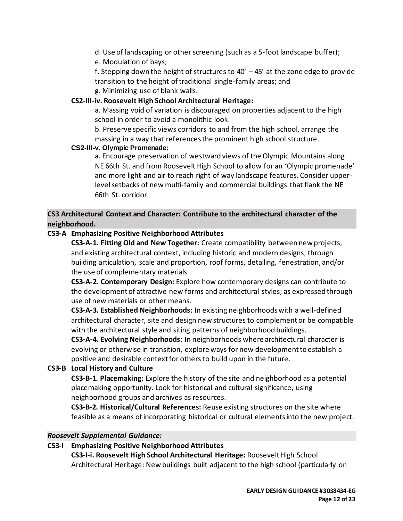d. Use of landscaping or other screening (such as a 5-foot landscape buffer); e. Modulation of bays;

f. Stepping down the height of structures to  $40' - 45'$  at the zone edge to provide transition to the height of traditional single-family areas; and

g. Minimizing use of blank walls.

### **CS2-III-iv. Roosevelt High School Architectural Heritage:**

a. Massing void of variation is discouraged on properties adjacent to the high school in order to avoid a monolithic look.

b. Preserve specific views corridors to and from the high school, arrange the massing in a way that references the prominent high school structure.

#### **CS2-III-v. Olympic Promenade:**

a. Encourage preservation of westward views of the Olympic Mountains along NE 66th St. and from Roosevelt High School to allow for an 'Olympic promenade' and more light and air to reach right of way landscape features. Consider upperlevel setbacks of new multi-family and commercial buildings that flank the NE 66th St. corridor.

# **CS3 Architectural Context and Character: Contribute to the architectural character of the neighborhood.**

## **CS3-A Emphasizing Positive Neighborhood Attributes**

**CS3-A-1. Fitting Old and New Together:** Create compatibility between new projects, and existing architectural context, including historic and modern designs, through building articulation, scale and proportion, roof forms, detailing, fenestration, and/or the use of complementary materials.

**CS3-A-2. Contemporary Design:** Explore how contemporary designs can contribute to the development of attractive new forms and architectural styles; as expressed through use of new materials or other means.

**CS3-A-3. Established Neighborhoods:** In existing neighborhoods with a well-defined architectural character, site and design new structures to complement or be compatible with the architectural style and siting patterns of neighborhood buildings.

**CS3-A-4. Evolving Neighborhoods:** In neighborhoods where architectural character is evolving or otherwise in transition, explore ways for new development to establish a positive and desirable context for others to build upon in the future.

## **CS3-B Local History and Culture**

**CS3-B-1. Placemaking:** Explore the history of the site and neighborhood as a potential placemaking opportunity. Look for historical and cultural significance, using neighborhood groups and archives as resources.

**CS3-B-2. Historical/Cultural References:** Reuse existing structures on the site where feasible as a means of incorporating historical or cultural elements into the new project.

#### *Roosevelt Supplemental Guidance:*

#### **CS3-I Emphasizing Positive Neighborhood Attributes**

**CS3-I-i. Roosevelt High School Architectural Heritage:** Roosevelt High School Architectural Heritage: New buildings built adjacent to the high school (particularly on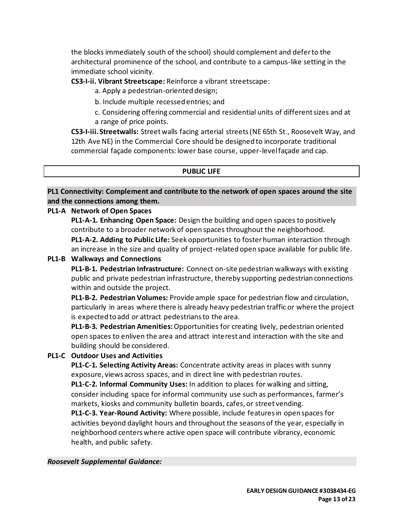the blocks immediately south of the school) should complement and defer to the architectural prominence of the school, and contribute to a campus-like setting in the immediate school vicinity.

**CS3-I-ii. Vibrant Streetscape:** Reinforce a vibrant streetscape:

- a. Apply a pedestrian-oriented design;
- b. Include multiple recessed entries; and
- c. Considering offering commercial and residential units of different sizes and at a range of price points.

**CS3-I-iii. Streetwalls:** Street walls facing arterial streets (NE 65th St., Roosevelt Way, and 12th Ave NE) in the Commercial Core should be designed to incorporate traditional commercial façade components: lower base course, upper-level façade and cap.

## **PUBLIC LIFE**

**PL1 Connectivity: Complement and contribute to the network of open spaces around the site and the connections among them.**

## **PL1-A Network of Open Spaces**

**PL1-A-1. Enhancing Open Space:** Design the building and open spaces to positively contribute to a broader network of open spaces throughout the neighborhood.

**PL1-A-2. Adding to Public Life:** Seek opportunities to foster human interaction through an increase in the size and quality of project-related open space available for public life.

# **PL1-B Walkways and Connections**

**PL1-B-1. Pedestrian Infrastructure:** Connect on-site pedestrian walkways with existing public and private pedestrian infrastructure, thereby supporting pedestrian connections within and outside the project.

**PL1-B-2. Pedestrian Volumes:** Provide ample space for pedestrian flow and circulation, particularly in areas where there is already heavy pedestrian traffic or where the project is expected to add or attract pedestrians to the area.

**PL1-B-3. Pedestrian Amenities:**Opportunities for creating lively, pedestrian oriented open spaces to enliven the area and attract interest and interaction with the site and building should be considered.

# **PL1-C Outdoor Uses and Activities**

**PL1-C-1. Selecting Activity Areas:** Concentrate activity areas in places with sunny exposure, views across spaces, and in direct line with pedestrian routes.

**PL1-C-2. Informal Community Uses:** In addition to places for walking and sitting, consider including space for informal community use such as performances, farmer's markets, kiosks and community bulletin boards, cafes, or street vending.

**PL1-C-3. Year-Round Activity:** Where possible, include features in open spaces for activities beyond daylight hours and throughout the seasons of the year, especially in neighborhood centers where active open space will contribute vibrancy, economic health, and public safety.

## *Roosevelt Supplemental Guidance:*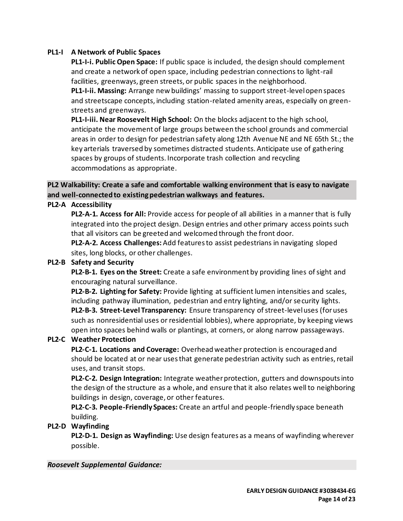### **PL1-I A Network of Public Spaces**

**PL1-I-i. Public Open Space:** If public space is included, the design should complement and create a network of open space, including pedestrian connections to light-rail facilities, greenways, green streets, or public spaces in the neighborhood. **PL1-I-ii. Massing:** Arrange new buildings' massing to support street-level open spaces and streetscape concepts, including station-related amenity areas, especially on greenstreets and greenways.

**PL1-I-iii. Near Roosevelt High School:** On the blocks adjacent to the high school, anticipate the movement of large groups between the school grounds and commercial areas in order to design for pedestrian safety along 12th Avenue NE and NE 65th St.; the key arterials traversed by sometimes distracted students. Anticipate use of gathering spaces by groups of students. Incorporate trash collection and recycling accommodations as appropriate.

# **PL2 Walkability: Create a safe and comfortable walking environment that is easy to navigate and well-connected to existing pedestrian walkways and features.**

#### **PL2-A Accessibility**

**PL2-A-1. Access for All:** Provide access for people of all abilities in a manner that is fully integrated into the project design. Design entries and other primary access points such that all visitors can be greeted and welcomed through the front door.

**PL2-A-2. Access Challenges:**Add features to assist pedestrians in navigating sloped sites, long blocks, or other challenges.

#### **PL2-B Safety and Security**

**PL2-B-1. Eyes on the Street:** Create a safe environment by providing lines of sight and encouraging natural surveillance.

**PL2-B-2. Lighting for Safety:** Provide lighting at sufficient lumen intensities and scales, including pathway illumination, pedestrian and entry lighting, and/or security lights. **PL2-B-3. Street-Level Transparency:** Ensure transparency of street-level uses (for uses such as nonresidential uses or residential lobbies), where appropriate, by keeping views open into spaces behind walls or plantings, at corners, or along narrow passageways.

#### **PL2-C Weather Protection**

**PL2-C-1. Locations and Coverage:** Overhead weather protection is encouraged and should be located at or near uses that generate pedestrian activity such as entries, retail uses, and transit stops.

**PL2-C-2. Design Integration:** Integrate weather protection, gutters and downspouts into the design of the structure as a whole, and ensure that it also relates well to neighboring buildings in design, coverage, or other features.

**PL2-C-3. People-Friendly Spaces:** Create an artful and people-friendly space beneath building.

#### **PL2-D Wayfinding**

**PL2-D-1. Design as Wayfinding:** Use design features as a means of wayfinding wherever possible.

#### *Roosevelt Supplemental Guidance:*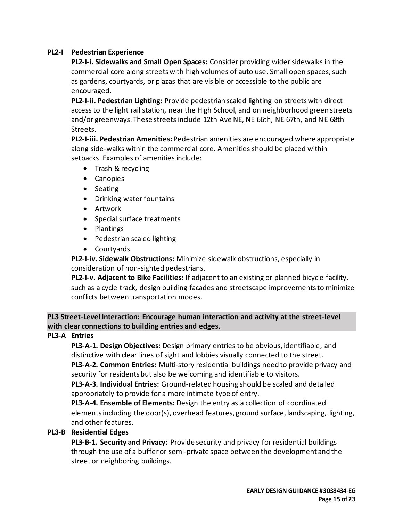# **PL2-I Pedestrian Experience**

**PL2-I-i. Sidewalks and Small Open Spaces:** Consider providing wider sidewalks in the commercial core along streets with high volumes of auto use. Small open spaces, such as gardens, courtyards, or plazas that are visible or accessible to the public are encouraged.

**PL2-I-ii. Pedestrian Lighting:** Provide pedestrian scaled lighting on streets with direct access to the light rail station, near the High School, and on neighborhood green streets and/or greenways. These streets include 12th Ave NE, NE 66th, NE 67th, and NE 68th Streets.

**PL2-I-iii. Pedestrian Amenities:** Pedestrian amenities are encouraged where appropriate along side-walks within the commercial core. Amenities should be placed within setbacks. Examples of amenities include:

- Trash & recycling
- Canopies
- Seating
- Drinking water fountains
- Artwork
- Special surface treatments
- Plantings
- Pedestrian scaled lighting
- Courtyards

**PL2-I-iv. Sidewalk Obstructions:** Minimize sidewalk obstructions, especially in consideration of non-sighted pedestrians.

**PL2-I-v. Adjacent to Bike Facilities:** If adjacent to an existing or planned bicycle facility, such as a cycle track, design building facades and streetscape improvements to minimize conflicts between transportation modes.

**PL3 Street-Level Interaction: Encourage human interaction and activity at the street-level with clear connections to building entries and edges.**

## **PL3-A Entries**

**PL3-A-1. Design Objectives:** Design primary entries to be obvious, identifiable, and distinctive with clear lines of sight and lobbies visually connected to the street.

**PL3-A-2. Common Entries:** Multi-story residential buildings need to provide privacy and security for residents but also be welcoming and identifiable to visitors.

**PL3-A-3. Individual Entries:** Ground-related housing should be scaled and detailed appropriately to provide for a more intimate type of entry.

**PL3-A-4. Ensemble of Elements:** Design the entry as a collection of coordinated elementsincluding the door(s), overhead features, ground surface, landscaping, lighting, and other features.

## **PL3-B Residential Edges**

**PL3-B-1. Security and Privacy:** Provide security and privacy for residential buildings through the use of a buffer or semi-private space between the development and the street or neighboring buildings.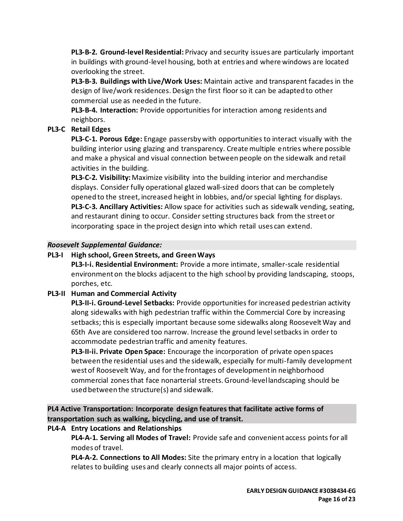**PL3-B-2. Ground-level Residential:** Privacy and security issues are particularly important in buildings with ground-level housing, both at entries and where windows are located overlooking the street.

**PL3-B-3. Buildings with Live/Work Uses:** Maintain active and transparent facades in the design of live/work residences. Design the first floor so it can be adapted to other commercial use as needed in the future.

**PL3-B-4. Interaction:** Provide opportunities for interaction among residents and neighbors.

# **PL3-C Retail Edges**

**PL3-C-1. Porous Edge:** Engage passersby with opportunities to interact visually with the building interior using glazing and transparency. Create multiple entries where possible and make a physical and visual connection between people on the sidewalk and retail activities in the building.

**PL3-C-2. Visibility:**Maximize visibility into the building interior and merchandise displays. Consider fully operational glazed wall-sized doors that can be completely opened to the street, increased height in lobbies, and/or special lighting for displays. **PL3-C-3. Ancillary Activities:** Allow space for activities such as sidewalk vending, seating, and restaurant dining to occur. Consider setting structures back from the street or incorporating space in the project design into which retail uses can extend.

# *Roosevelt Supplemental Guidance:*

# **PL3-I High school, Green Streets, and Green Ways**

**PL3-I-i. Residential Environment:** Provide a more intimate, smaller-scale residential environment on the blocks adjacent to the high school by providing landscaping, stoops, porches, etc.

# **PL3-II Human and Commercial Activity**

**PL3-II-i. Ground-Level Setbacks:** Provide opportunities for increased pedestrian activity along sidewalks with high pedestrian traffic within the Commercial Core by increasing setbacks; this is especially important because some sidewalks along Roosevelt Way and 65th Ave are considered too narrow. Increase the ground level setbacks in order to accommodate pedestrian traffic and amenity features.

**PL3-II-ii. Private Open Space:** Encourage the incorporation of private open spaces between the residential uses and the sidewalk, especially for multi-family development west of Roosevelt Way, and for the frontages of development in neighborhood commercial zones that face nonarterial streets. Ground-level landscaping should be used between the structure(s) and sidewalk.

# **PL4 Active Transportation: Incorporate design features that facilitate active forms of transportation such as walking, bicycling, and use of transit.**

# **PL4-A Entry Locations and Relationships**

**PL4-A-1. Serving all Modes of Travel:** Provide safe and convenient access points for all modes of travel.

**PL4-A-2. Connections to All Modes:** Site the primary entry in a location that logically relates to building uses and clearly connects all major points of access.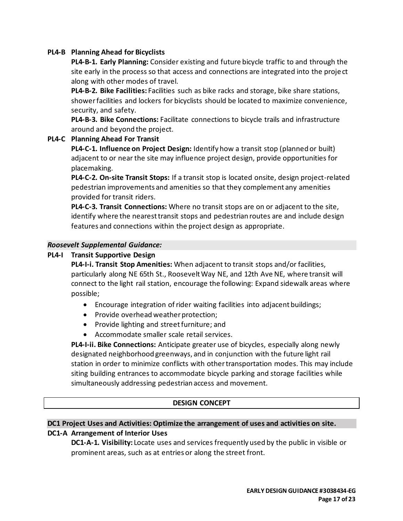### **PL4-B Planning Ahead for Bicyclists**

**PL4-B-1. Early Planning:** Consider existing and future bicycle traffic to and through the site early in the process so that access and connections are integrated into the project along with other modes of travel.

**PL4-B-2. Bike Facilities:** Facilities such as bike racks and storage, bike share stations, showerfacilities and lockers for bicyclists should be located to maximize convenience, security, and safety.

**PL4-B-3. Bike Connections:** Facilitate connections to bicycle trails and infrastructure around and beyond the project.

#### **PL4-C Planning Ahead For Transit**

**PL4-C-1. Influence on Project Design:** Identify how a transit stop (planned or built) adjacent to or near the site may influence project design, provide opportunities for placemaking.

**PL4-C-2. On-site Transit Stops:** If a transit stop is located onsite, design project-related pedestrian improvements and amenities so that they complement any amenities provided for transit riders.

**PL4-C-3. Transit Connections:** Where no transit stops are on or adjacent to the site, identify where the nearest transit stops and pedestrian routes are and include design features and connections within the project design as appropriate.

#### *Roosevelt Supplemental Guidance:*

#### **PL4-I Transit Supportive Design**

**PL4-I-i. Transit Stop Amenities:** When adjacent to transit stops and/or facilities, particularly along NE 65th St., Roosevelt Way NE, and 12th Ave NE, where transit will connect to the light rail station, encourage the following: Expand sidewalk areas where possible;

- Encourage integration of rider waiting facilities into adjacent buildings;
- Provide overhead weather protection;
- Provide lighting and street furniture; and
- Accommodate smaller scale retail services.

**PL4-I-ii. Bike Connections:** Anticipate greater use of bicycles, especially along newly designated neighborhood greenways, and in conjunction with the future light rail station in order to minimize conflicts with other transportation modes. This may include siting building entrances to accommodate bicycle parking and storage facilities while simultaneously addressing pedestrian access and movement.

#### **DESIGN CONCEPT**

### **DC1 Project Uses and Activities: Optimize the arrangement of uses and activities on site. DC1-A Arrangement of Interior Uses**

**DC1-A-1. Visibility:** Locate uses and services frequently used by the public in visible or prominent areas, such as at entries or along the street front.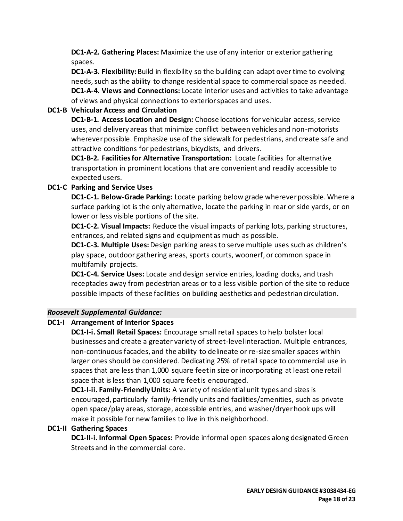**DC1-A-2. Gathering Places:** Maximize the use of any interior or exterior gathering spaces.

**DC1-A-3. Flexibility:** Build in flexibility so the building can adapt over time to evolving needs, such as the ability to change residential space to commercial space as needed. **DC1-A-4. Views and Connections:** Locate interior uses and activities to take advantage of views and physical connections to exterior spaces and uses.

# **DC1-B Vehicular Access and Circulation**

**DC1-B-1. Access Location and Design:** Choose locations for vehicular access, service uses, and delivery areas that minimize conflict between vehicles and non-motorists wherever possible. Emphasize use of the sidewalk for pedestrians, and create safe and attractive conditions for pedestrians, bicyclists, and drivers.

**DC1-B-2. Facilities for Alternative Transportation:** Locate facilities for alternative transportation in prominent locations that are convenient and readily accessible to expected users.

# **DC1-C Parking and Service Uses**

**DC1-C-1. Below-Grade Parking:** Locate parking below grade wherever possible. Where a surface parking lot is the only alternative, locate the parking in rear or side yards, or on lower or less visible portions of the site.

**DC1-C-2. Visual Impacts:** Reduce the visual impacts of parking lots, parking structures, entrances, and related signs and equipment as much as possible.

**DC1-C-3. Multiple Uses:** Design parking areas to serve multiple uses such as children's play space, outdoor gathering areas, sports courts, woonerf, or common space in multifamily projects.

**DC1-C-4. Service Uses:** Locate and design service entries, loading docks, and trash receptacles away from pedestrian areas or to a less visible portion of the site to reduce possible impacts of these facilities on building aesthetics and pedestrian circulation.

## *Roosevelt Supplemental Guidance:*

## **DC1-I Arrangement of Interior Spaces**

**DC1-I-i. Small Retail Spaces:** Encourage small retail spaces to help bolster local businesses and create a greater variety of street-level interaction. Multiple entrances, non-continuous facades, and the ability to delineate or re-size smaller spaces within larger ones should be considered. Dedicating 25% of retail space to commercial use in spaces that are less than 1,000 square feet in size or incorporating at least one retail space that is less than 1,000 square feet is encouraged.

**DC1-I-ii. Family-Friendly Units:** A variety of residential unit types and sizes is encouraged, particularly family-friendly units and facilities/amenities, such as private open space/play areas, storage, accessible entries, and washer/dryer hook ups will make it possible for new families to live in this neighborhood.

## **DC1-II Gathering Spaces**

**DC1-II-i. Informal Open Spaces:** Provide informal open spaces along designated Green Streets and in the commercial core.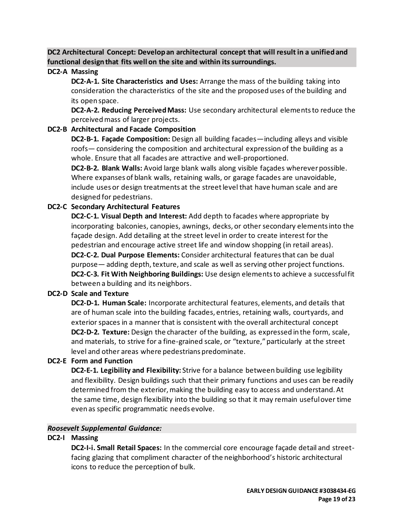**DC2 Architectural Concept: Develop an architectural concept that will result in a unified and functional design that fits well on the site and within its surroundings.**

#### **DC2-A Massing**

**DC2-A-1. Site Characteristics and Uses:** Arrange the mass of the building taking into consideration the characteristics of the site and the proposed uses of the building and its open space.

**DC2-A-2. Reducing Perceived Mass:** Use secondary architectural elements to reduce the perceived mass of larger projects.

### **DC2-B Architectural and Facade Composition**

**DC2-B-1. Façade Composition:** Design all building facades—including alleys and visible roofs— considering the composition and architectural expression of the building as a whole. Ensure that all facades are attractive and well-proportioned.

**DC2-B-2. Blank Walls:** Avoid large blank walls along visible façades wherever possible. Where expanses of blank walls, retaining walls, or garage facades are unavoidable, include uses or design treatments at the street level that have human scale and are designed for pedestrians.

## **DC2-C Secondary Architectural Features**

**DC2-C-1. Visual Depth and Interest:** Add depth to facades where appropriate by incorporating balconies, canopies, awnings, decks, or other secondary elements into the façade design. Add detailing at the street level in order to create interest for the pedestrian and encourage active street life and window shopping (in retail areas). **DC2-C-2. Dual Purpose Elements:** Consider architectural features that can be dual purpose— adding depth, texture, and scale as well as serving other project functions. **DC2-C-3. Fit With Neighboring Buildings:** Use design elements to achieve a successful fit between a building and its neighbors.

#### **DC2-D Scale and Texture**

**DC2-D-1. Human Scale:** Incorporate architectural features, elements, and details that are of human scale into the building facades, entries, retaining walls, courtyards, and exterior spaces in a manner that is consistent with the overall architectural concept **DC2-D-2. Texture:** Design the character of the building, as expressed in the form, scale, and materials, to strive for a fine-grained scale, or "texture," particularly at the street level and other areas where pedestrians predominate.

#### **DC2-E Form and Function**

**DC2-E-1. Legibility and Flexibility:** Strive for a balance between building use legibility and flexibility. Design buildings such that their primary functions and uses can be readily determined from the exterior, making the building easy to access and understand. At the same time, design flexibility into the building so that it may remain useful over time even as specific programmatic needs evolve.

#### *Roosevelt Supplemental Guidance:*

## **DC2-I Massing**

**DC2-I-i. Small Retail Spaces:** In the commercial core encourage façade detail and streetfacing glazing that compliment character of the neighborhood's historic architectural icons to reduce the perception of bulk.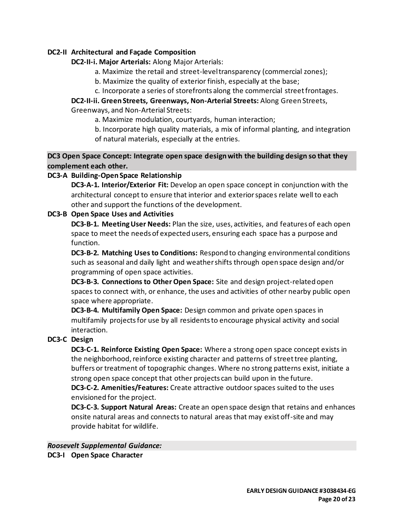### **DC2-II Architectural and Façade Composition**

#### **DC2-II-i. Major Arterials:** Along Major Arterials:

- a. Maximize the retail and street-level transparency (commercial zones);
- b. Maximize the quality of exterior finish, especially at the base;
- c. Incorporate a series of storefronts along the commercial street frontages.

#### **DC2-II-ii. Green Streets, Greenways, Non-Arterial Streets:** Along Green Streets, Greenways, and Non-Arterial Streets:

a. Maximize modulation, courtyards, human interaction;

- b. Incorporate high quality materials, a mix of informal planting, and integration
- of natural materials, especially at the entries.

**DC3 Open Space Concept: Integrate open space design with the building design so that they complement each other.**

## **DC3-A Building-Open Space Relationship**

**DC3-A-1. Interior/Exterior Fit:** Develop an open space concept in conjunction with the architectural concept to ensure that interior and exterior spaces relate well to each other and support the functions of the development.

### **DC3-B Open Space Uses and Activities**

**DC3-B-1. Meeting User Needs:** Plan the size, uses, activities, and features of each open space to meet the needs of expected users, ensuring each space has a purpose and function.

**DC3-B-2. Matching Uses to Conditions:** Respond to changing environmental conditions such as seasonal and daily light and weather shifts through open space design and/or programming of open space activities.

**DC3-B-3. Connections to Other Open Space:** Site and design project-related open spaces to connect with, or enhance, the uses and activities of other nearby public open space where appropriate.

**DC3-B-4. Multifamily Open Space:** Design common and private open spaces in multifamily projects for use by all residents to encourage physical activity and social interaction.

## **DC3-C Design**

**DC3-C-1. Reinforce Existing Open Space:** Where a strong open space concept exists in the neighborhood, reinforce existing character and patterns of street tree planting, buffers or treatment of topographic changes. Where no strong patterns exist, initiate a strong open space concept that other projects can build upon in the future. **DC3-C-2. Amenities/Features:** Create attractive outdoor spaces suited to the uses envisioned for the project.

**DC3-C-3. Support Natural Areas:** Create an open space design that retains and enhances onsite natural areas and connects to natural areas that may exist off-site and may provide habitat for wildlife.

*Roosevelt Supplemental Guidance:* **DC3-I Open Space Character**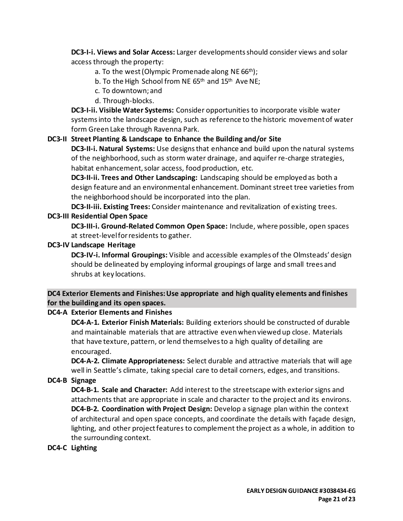**DC3-I-i. Views and Solar Access:** Larger developments should consider views and solar access through the property:

- a. To the west (Olympic Promenade along NE 66<sup>th</sup>);
- b. To the High School from NE  $65<sup>th</sup>$  and  $15<sup>th</sup>$  Ave NE;
- c. To downtown; and
- d. Through-blocks.

**DC3-I-ii. Visible Water Systems:** Consider opportunities to incorporate visible water systems into the landscape design, such as reference to the historic movement of water form Green Lake through Ravenna Park.

# **DC3-II Street Planting & Landscape to Enhance the Building and/or Site**

**DC3-II-i. Natural Systems:** Use designs that enhance and build upon the natural systems of the neighborhood, such as storm water drainage, and aquifer re-charge strategies, habitat enhancement, solar access, food production, etc.

**DC3-II-ii. Trees and Other Landscaping:** Landscaping should be employed as both a design feature and an environmental enhancement. Dominant street tree varieties from the neighborhood should be incorporated into the plan.

**DC3-II-iii. Existing Trees:** Consider maintenance and revitalization of existing trees.

## **DC3-III Residential Open Space**

**DC3-III-i. Ground-Related Common Open Space:** Include, where possible, open spaces at street-level for residents to gather.

## **DC3-IV Landscape Heritage**

**DC3-IV-i. Informal Groupings:** Visible and accessible examples of the Olmsteads' design should be delineated by employing informal groupings of large and small trees and shrubs at key locations.

# **DC4 Exterior Elements and Finishes: Use appropriate and high quality elements and finishes for the building and its open spaces.**

## **DC4-A Exterior Elements and Finishes**

**DC4-A-1. Exterior Finish Materials:** Building exteriors should be constructed of durable and maintainable materials that are attractive even when viewed up close. Materials that have texture, pattern, or lend themselves to a high quality of detailing are encouraged.

**DC4-A-2. Climate Appropriateness:** Select durable and attractive materials that will age well in Seattle's climate, taking special care to detail corners, edges, and transitions.

**DC4-B Signage**

**DC4-B-1. Scale and Character:** Add interest to the streetscape with exterior signs and attachments that are appropriate in scale and character to the project and its environs. **DC4-B-2. Coordination with Project Design:** Develop a signage plan within the context of architectural and open space concepts, and coordinate the details with façade design, lighting, and other project features to complement the project as a whole, in addition to the surrounding context.

## **DC4-C Lighting**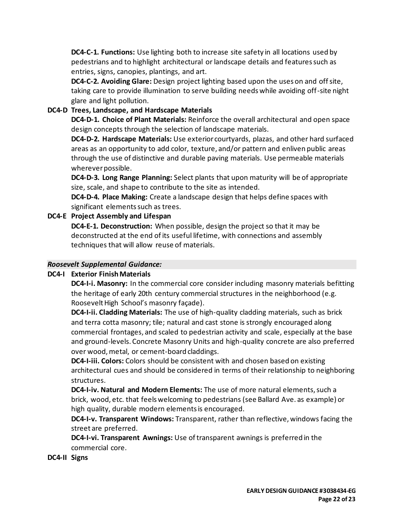**DC4-C-1. Functions:** Use lighting both to increase site safety in all locations used by pedestrians and to highlight architectural or landscape details and features such as entries, signs, canopies, plantings, and art.

**DC4-C-2. Avoiding Glare:** Design project lighting based upon the uses on and off site, taking care to provide illumination to serve building needs while avoiding off-site night glare and light pollution.

# **DC4-D Trees, Landscape, and Hardscape Materials**

**DC4-D-1. Choice of Plant Materials:** Reinforce the overall architectural and open space design concepts through the selection of landscape materials.

**DC4-D-2. Hardscape Materials:** Use exterior courtyards, plazas, and other hard surfaced areas as an opportunity to add color, texture, and/or pattern and enliven public areas through the use of distinctive and durable paving materials. Use permeable materials wherever possible.

**DC4-D-3. Long Range Planning:** Select plants that upon maturity will be of appropriate size, scale, and shape to contribute to the site as intended.

**DC4-D-4. Place Making:** Create a landscape design that helps define spaces with significant elements such as trees.

# **DC4-E Project Assembly and Lifespan**

**DC4-E-1. Deconstruction:** When possible, design the project so that it may be deconstructed at the end of its useful lifetime, with connections and assembly techniques that will allow reuse of materials.

# *Roosevelt Supplemental Guidance:*

## **DC4-I Exterior Finish Materials**

**DC4-I-i. Masonry:** In the commercial core consider including masonry materials befitting the heritage of early 20th century commercial structures in the neighborhood (e.g. Roosevelt High School's masonry façade).

**DC4-I-ii. Cladding Materials:** The use of high-quality cladding materials, such as brick and terra cotta masonry; tile; natural and cast stone is strongly encouraged along commercial frontages, and scaled to pedestrian activity and scale, especially at the base and ground-levels. Concrete Masonry Units and high-quality concrete are also preferred over wood, metal, or cement-board claddings.

**DC4-I-iii. Colors:** Colors should be consistent with and chosen based on existing architectural cues and should be considered in terms of their relationship to neighboring structures.

**DC4-I-iv. Natural and Modern Elements:** The use of more natural elements, such a brick, wood, etc. that feels welcoming to pedestrians (see Ballard Ave. as example) or high quality, durable modern elements is encouraged.

**DC4-I-v. Transparent Windows:** Transparent, rather than reflective, windows facing the street are preferred.

**DC4-I-vi. Transparent Awnings:** Use of transparent awnings is preferred in the commercial core.

## **DC4-II Signs**